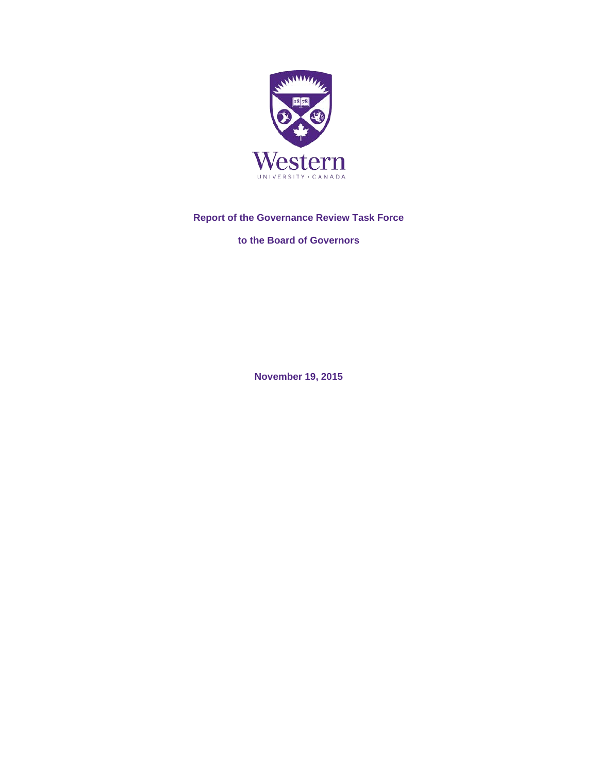

# **Report of the Governance Review Task Force**

**to the Board of Governors**

**November 19, 2015**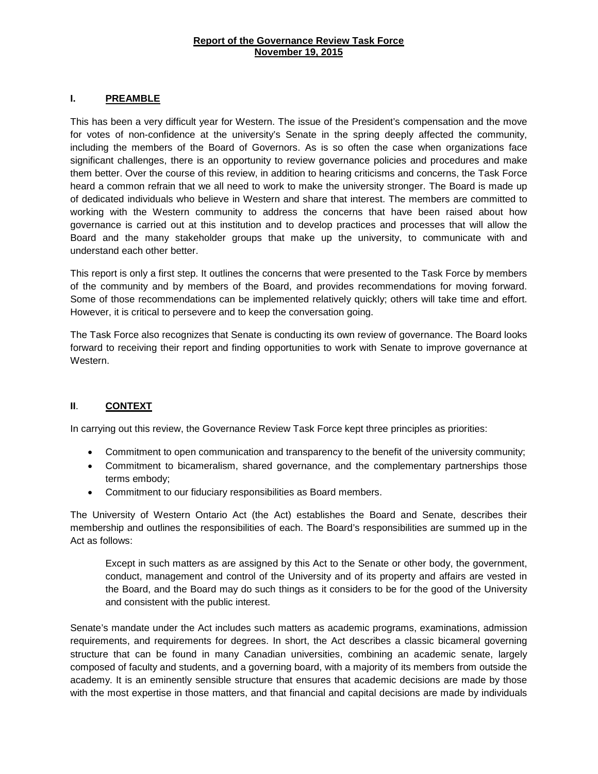### **Report of the Governance Review Task Force November 19, 2015**

### **I. PREAMBLE**

This has been a very difficult year for Western. The issue of the President's compensation and the move for votes of non-confidence at the university's Senate in the spring deeply affected the community, including the members of the Board of Governors. As is so often the case when organizations face significant challenges, there is an opportunity to review governance policies and procedures and make them better. Over the course of this review, in addition to hearing criticisms and concerns, the Task Force heard a common refrain that we all need to work to make the university stronger. The Board is made up of dedicated individuals who believe in Western and share that interest. The members are committed to working with the Western community to address the concerns that have been raised about how governance is carried out at this institution and to develop practices and processes that will allow the Board and the many stakeholder groups that make up the university, to communicate with and understand each other better.

This report is only a first step. It outlines the concerns that were presented to the Task Force by members of the community and by members of the Board, and provides recommendations for moving forward. Some of those recommendations can be implemented relatively quickly; others will take time and effort. However, it is critical to persevere and to keep the conversation going.

The Task Force also recognizes that Senate is conducting its own review of governance. The Board looks forward to receiving their report and finding opportunities to work with Senate to improve governance at Western.

## **II**. **CONTEXT**

In carrying out this review, the Governance Review Task Force kept three principles as priorities:

- Commitment to open communication and transparency to the benefit of the university community;
- Commitment to bicameralism, shared governance, and the complementary partnerships those terms embody;
- Commitment to our fiduciary responsibilities as Board members.

The University of Western Ontario Act (the Act) establishes the Board and Senate, describes their membership and outlines the responsibilities of each. The Board's responsibilities are summed up in the Act as follows:

Except in such matters as are assigned by this Act to the Senate or other body, the government, conduct, management and control of the University and of its property and affairs are vested in the Board, and the Board may do such things as it considers to be for the good of the University and consistent with the public interest.

Senate's mandate under the Act includes such matters as academic programs, examinations, admission requirements, and requirements for degrees. In short, the Act describes a classic bicameral governing structure that can be found in many Canadian universities, combining an academic senate, largely composed of faculty and students, and a governing board, with a majority of its members from outside the academy. It is an eminently sensible structure that ensures that academic decisions are made by those with the most expertise in those matters, and that financial and capital decisions are made by individuals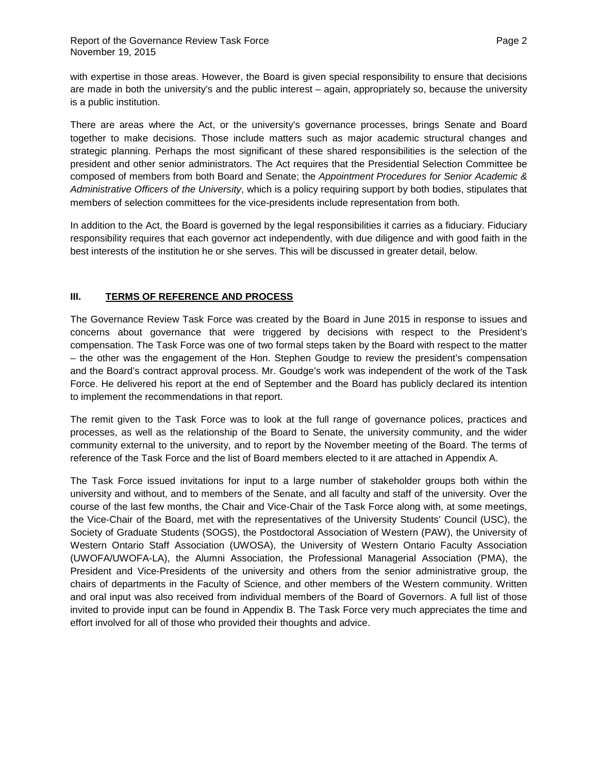with expertise in those areas. However, the Board is given special responsibility to ensure that decisions are made in both the university's and the public interest – again, appropriately so, because the university is a public institution.

There are areas where the Act, or the university's governance processes, brings Senate and Board together to make decisions. Those include matters such as major academic structural changes and strategic planning. Perhaps the most significant of these shared responsibilities is the selection of the president and other senior administrators. The Act requires that the Presidential Selection Committee be composed of members from both Board and Senate; the *Appointment Procedures for Senior Academic & Administrative Officers of the University*, which is a policy requiring support by both bodies, stipulates that members of selection committees for the vice-presidents include representation from both.

In addition to the Act, the Board is governed by the legal responsibilities it carries as a fiduciary. Fiduciary responsibility requires that each governor act independently, with due diligence and with good faith in the best interests of the institution he or she serves. This will be discussed in greater detail, below.

# **III. TERMS OF REFERENCE AND PROCESS**

The Governance Review Task Force was created by the Board in June 2015 in response to issues and concerns about governance that were triggered by decisions with respect to the President's compensation. The Task Force was one of two formal steps taken by the Board with respect to the matter – the other was the engagement of the Hon. Stephen Goudge to review the president's compensation and the Board's contract approval process. Mr. Goudge's work was independent of the work of the Task Force. He delivered his report at the end of September and the Board has publicly declared its intention to implement the recommendations in that report.

The remit given to the Task Force was to look at the full range of governance polices, practices and processes, as well as the relationship of the Board to Senate, the university community, and the wider community external to the university, and to report by the November meeting of the Board. The terms of reference of the Task Force and the list of Board members elected to it are attached in Appendix A.

The Task Force issued invitations for input to a large number of stakeholder groups both within the university and without, and to members of the Senate, and all faculty and staff of the university. Over the course of the last few months, the Chair and Vice-Chair of the Task Force along with, at some meetings, the Vice-Chair of the Board, met with the representatives of the University Students' Council (USC), the Society of Graduate Students (SOGS), the Postdoctoral Association of Western (PAW), the University of Western Ontario Staff Association (UWOSA), the University of Western Ontario Faculty Association (UWOFA/UWOFA-LA), the Alumni Association, the Professional Managerial Association (PMA), the President and Vice-Presidents of the university and others from the senior administrative group, the chairs of departments in the Faculty of Science, and other members of the Western community. Written and oral input was also received from individual members of the Board of Governors. A full list of those invited to provide input can be found in Appendix B. The Task Force very much appreciates the time and effort involved for all of those who provided their thoughts and advice.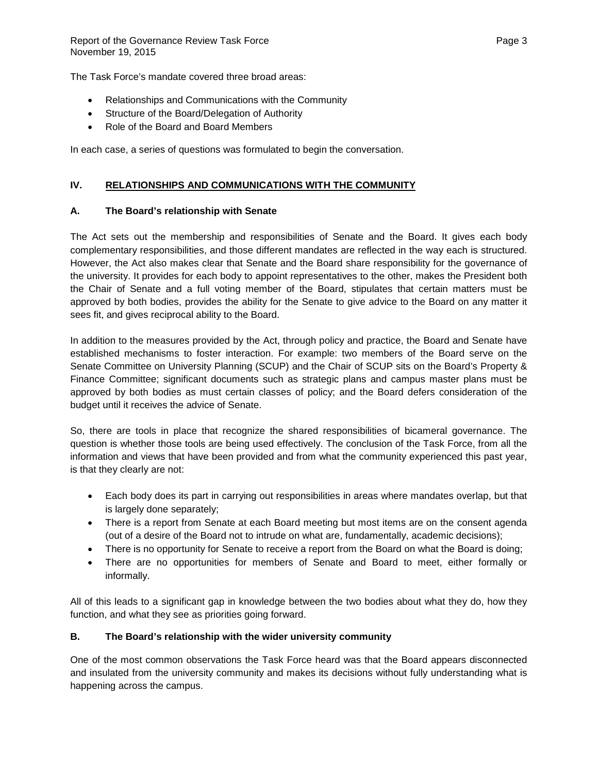The Task Force's mandate covered three broad areas:

- Relationships and Communications with the Community
- Structure of the Board/Delegation of Authority
- Role of the Board and Board Members

In each case, a series of questions was formulated to begin the conversation.

# **IV. RELATIONSHIPS AND COMMUNICATIONS WITH THE COMMUNITY**

## **A. The Board's relationship with Senate**

The Act sets out the membership and responsibilities of Senate and the Board. It gives each body complementary responsibilities, and those different mandates are reflected in the way each is structured. However, the Act also makes clear that Senate and the Board share responsibility for the governance of the university. It provides for each body to appoint representatives to the other, makes the President both the Chair of Senate and a full voting member of the Board, stipulates that certain matters must be approved by both bodies, provides the ability for the Senate to give advice to the Board on any matter it sees fit, and gives reciprocal ability to the Board.

In addition to the measures provided by the Act, through policy and practice, the Board and Senate have established mechanisms to foster interaction. For example: two members of the Board serve on the Senate Committee on University Planning (SCUP) and the Chair of SCUP sits on the Board's Property & Finance Committee; significant documents such as strategic plans and campus master plans must be approved by both bodies as must certain classes of policy; and the Board defers consideration of the budget until it receives the advice of Senate.

So, there are tools in place that recognize the shared responsibilities of bicameral governance. The question is whether those tools are being used effectively. The conclusion of the Task Force, from all the information and views that have been provided and from what the community experienced this past year, is that they clearly are not:

- Each body does its part in carrying out responsibilities in areas where mandates overlap, but that is largely done separately;
- There is a report from Senate at each Board meeting but most items are on the consent agenda (out of a desire of the Board not to intrude on what are, fundamentally, academic decisions);
- There is no opportunity for Senate to receive a report from the Board on what the Board is doing;
- There are no opportunities for members of Senate and Board to meet, either formally or informally.

All of this leads to a significant gap in knowledge between the two bodies about what they do, how they function, and what they see as priorities going forward.

## **B. The Board's relationship with the wider university community**

One of the most common observations the Task Force heard was that the Board appears disconnected and insulated from the university community and makes its decisions without fully understanding what is happening across the campus.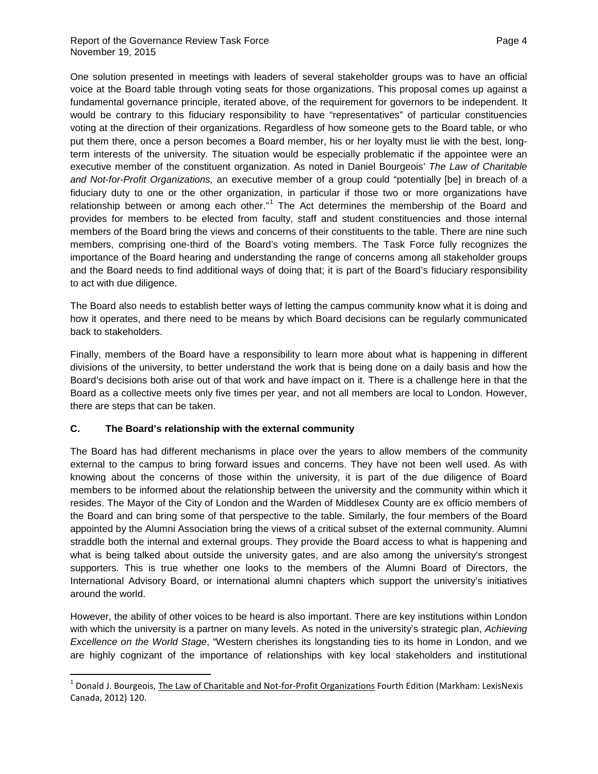One solution presented in meetings with leaders of several stakeholder groups was to have an official voice at the Board table through voting seats for those organizations. This proposal comes up against a fundamental governance principle, iterated above, of the requirement for governors to be independent. It would be contrary to this fiduciary responsibility to have "representatives" of particular constituencies voting at the direction of their organizations. Regardless of how someone gets to the Board table, or who put them there, once a person becomes a Board member, his or her loyalty must lie with the best, longterm interests of the university. The situation would be especially problematic if the appointee were an executive member of the constituent organization. As noted in Daniel Bourgeois' *The Law of Charitable and Not-for-Profit Organizations,* an executive member of a group could "potentially [be] in breach of a fiduciary duty to one or the other organization, in particular if those two or more organizations have relationship between or among each other."<sup>[1](#page-4-0)</sup> The Act determines the membership of the Board and provides for members to be elected from faculty, staff and student constituencies and those internal members of the Board bring the views and concerns of their constituents to the table. There are nine such members, comprising one-third of the Board's voting members. The Task Force fully recognizes the importance of the Board hearing and understanding the range of concerns among all stakeholder groups and the Board needs to find additional ways of doing that; it is part of the Board's fiduciary responsibility to act with due diligence.

The Board also needs to establish better ways of letting the campus community know what it is doing and how it operates, and there need to be means by which Board decisions can be regularly communicated back to stakeholders.

Finally, members of the Board have a responsibility to learn more about what is happening in different divisions of the university, to better understand the work that is being done on a daily basis and how the Board's decisions both arise out of that work and have impact on it. There is a challenge here in that the Board as a collective meets only five times per year, and not all members are local to London. However, there are steps that can be taken.

## **C. The Board's relationship with the external community**

The Board has had different mechanisms in place over the years to allow members of the community external to the campus to bring forward issues and concerns. They have not been well used. As with knowing about the concerns of those within the university, it is part of the due diligence of Board members to be informed about the relationship between the university and the community within which it resides. The Mayor of the City of London and the Warden of Middlesex County are ex officio members of the Board and can bring some of that perspective to the table. Similarly, the four members of the Board appointed by the Alumni Association bring the views of a critical subset of the external community. Alumni straddle both the internal and external groups. They provide the Board access to what is happening and what is being talked about outside the university gates, and are also among the university's strongest supporters. This is true whether one looks to the members of the Alumni Board of Directors, the International Advisory Board, or international alumni chapters which support the university's initiatives around the world.

However, the ability of other voices to be heard is also important. There are key institutions within London with which the university is a partner on many levels. As noted in the university's strategic plan, *Achieving Excellence on the World Stage*, "Western cherishes its longstanding ties to its home in London, and we are highly cognizant of the importance of relationships with key local stakeholders and institutional

<span id="page-4-0"></span> $1$  Donald J. Bourgeois, The Law of Charitable and Not-for-Profit Organizations Fourth Edition (Markham: LexisNexis Canada, 2012) 120.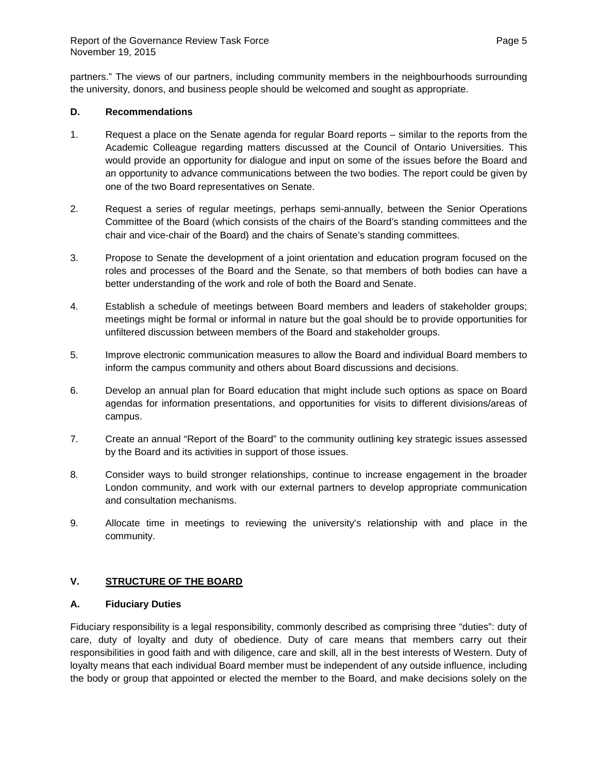partners." The views of our partners, including community members in the neighbourhoods surrounding the university, donors, and business people should be welcomed and sought as appropriate.

### **D. Recommendations**

- 1. Request a place on the Senate agenda for regular Board reports similar to the reports from the Academic Colleague regarding matters discussed at the Council of Ontario Universities. This would provide an opportunity for dialogue and input on some of the issues before the Board and an opportunity to advance communications between the two bodies. The report could be given by one of the two Board representatives on Senate.
- 2. Request a series of regular meetings, perhaps semi-annually, between the Senior Operations Committee of the Board (which consists of the chairs of the Board's standing committees and the chair and vice-chair of the Board) and the chairs of Senate's standing committees.
- 3. Propose to Senate the development of a joint orientation and education program focused on the roles and processes of the Board and the Senate, so that members of both bodies can have a better understanding of the work and role of both the Board and Senate.
- 4. Establish a schedule of meetings between Board members and leaders of stakeholder groups; meetings might be formal or informal in nature but the goal should be to provide opportunities for unfiltered discussion between members of the Board and stakeholder groups.
- 5. Improve electronic communication measures to allow the Board and individual Board members to inform the campus community and others about Board discussions and decisions.
- 6. Develop an annual plan for Board education that might include such options as space on Board agendas for information presentations, and opportunities for visits to different divisions/areas of campus.
- 7. Create an annual "Report of the Board" to the community outlining key strategic issues assessed by the Board and its activities in support of those issues.
- 8. Consider ways to build stronger relationships, continue to increase engagement in the broader London community, and work with our external partners to develop appropriate communication and consultation mechanisms.
- 9. Allocate time in meetings to reviewing the university's relationship with and place in the community.

## **V. STRUCTURE OF THE BOARD**

## **A. Fiduciary Duties**

Fiduciary responsibility is a legal responsibility, commonly described as comprising three "duties": duty of care, duty of loyalty and duty of obedience. Duty of care means that members carry out their responsibilities in good faith and with diligence, care and skill, all in the best interests of Western. Duty of loyalty means that each individual Board member must be independent of any outside influence, including the body or group that appointed or elected the member to the Board, and make decisions solely on the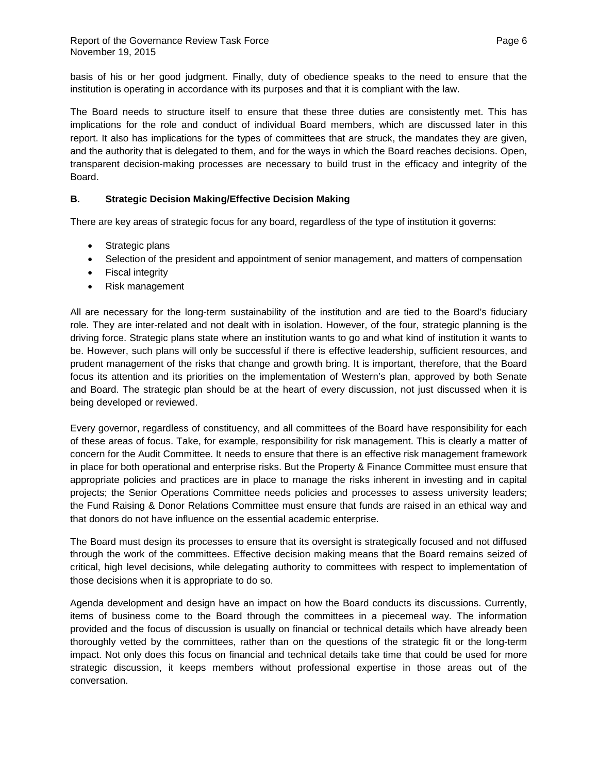basis of his or her good judgment. Finally, duty of obedience speaks to the need to ensure that the institution is operating in accordance with its purposes and that it is compliant with the law.

The Board needs to structure itself to ensure that these three duties are consistently met. This has implications for the role and conduct of individual Board members, which are discussed later in this report. It also has implications for the types of committees that are struck, the mandates they are given, and the authority that is delegated to them, and for the ways in which the Board reaches decisions. Open, transparent decision-making processes are necessary to build trust in the efficacy and integrity of the Board.

# **B. Strategic Decision Making/Effective Decision Making**

There are key areas of strategic focus for any board, regardless of the type of institution it governs:

- Strategic plans
- Selection of the president and appointment of senior management, and matters of compensation
- Fiscal integrity
- Risk management

All are necessary for the long-term sustainability of the institution and are tied to the Board's fiduciary role. They are inter-related and not dealt with in isolation. However, of the four, strategic planning is the driving force. Strategic plans state where an institution wants to go and what kind of institution it wants to be. However, such plans will only be successful if there is effective leadership, sufficient resources, and prudent management of the risks that change and growth bring. It is important, therefore, that the Board focus its attention and its priorities on the implementation of Western's plan, approved by both Senate and Board. The strategic plan should be at the heart of every discussion, not just discussed when it is being developed or reviewed.

Every governor, regardless of constituency, and all committees of the Board have responsibility for each of these areas of focus. Take, for example, responsibility for risk management. This is clearly a matter of concern for the Audit Committee. It needs to ensure that there is an effective risk management framework in place for both operational and enterprise risks. But the Property & Finance Committee must ensure that appropriate policies and practices are in place to manage the risks inherent in investing and in capital projects; the Senior Operations Committee needs policies and processes to assess university leaders; the Fund Raising & Donor Relations Committee must ensure that funds are raised in an ethical way and that donors do not have influence on the essential academic enterprise.

The Board must design its processes to ensure that its oversight is strategically focused and not diffused through the work of the committees. Effective decision making means that the Board remains seized of critical, high level decisions, while delegating authority to committees with respect to implementation of those decisions when it is appropriate to do so.

Agenda development and design have an impact on how the Board conducts its discussions. Currently, items of business come to the Board through the committees in a piecemeal way. The information provided and the focus of discussion is usually on financial or technical details which have already been thoroughly vetted by the committees, rather than on the questions of the strategic fit or the long-term impact. Not only does this focus on financial and technical details take time that could be used for more strategic discussion, it keeps members without professional expertise in those areas out of the conversation.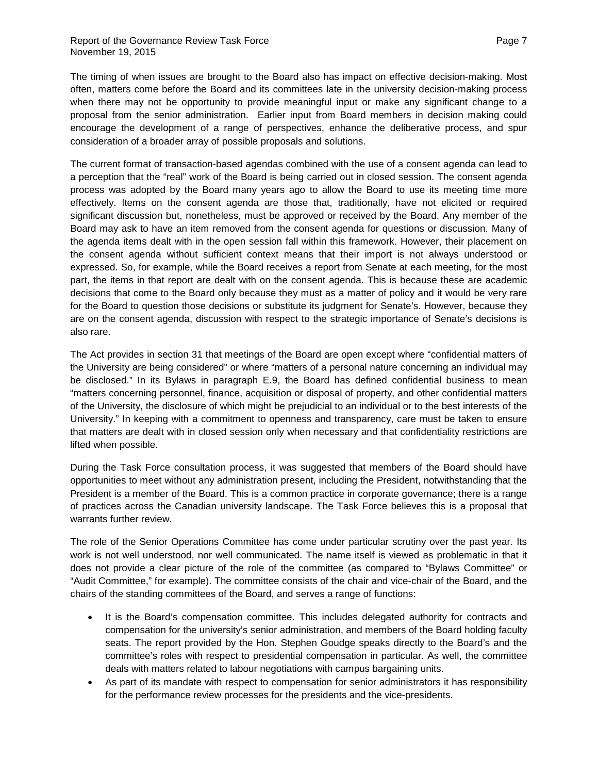The timing of when issues are brought to the Board also has impact on effective decision-making. Most often, matters come before the Board and its committees late in the university decision-making process when there may not be opportunity to provide meaningful input or make any significant change to a proposal from the senior administration. Earlier input from Board members in decision making could encourage the development of a range of perspectives, enhance the deliberative process, and spur consideration of a broader array of possible proposals and solutions.

The current format of transaction-based agendas combined with the use of a consent agenda can lead to a perception that the "real" work of the Board is being carried out in closed session. The consent agenda process was adopted by the Board many years ago to allow the Board to use its meeting time more effectively. Items on the consent agenda are those that, traditionally, have not elicited or required significant discussion but, nonetheless, must be approved or received by the Board. Any member of the Board may ask to have an item removed from the consent agenda for questions or discussion. Many of the agenda items dealt with in the open session fall within this framework. However, their placement on the consent agenda without sufficient context means that their import is not always understood or expressed. So, for example, while the Board receives a report from Senate at each meeting, for the most part, the items in that report are dealt with on the consent agenda. This is because these are academic decisions that come to the Board only because they must as a matter of policy and it would be very rare for the Board to question those decisions or substitute its judgment for Senate's. However, because they are on the consent agenda, discussion with respect to the strategic importance of Senate's decisions is also rare.

The Act provides in section 31 that meetings of the Board are open except where "confidential matters of the University are being considered" or where "matters of a personal nature concerning an individual may be disclosed." In its Bylaws in paragraph E.9, the Board has defined confidential business to mean "matters concerning personnel, finance, acquisition or disposal of property, and other confidential matters of the University, the disclosure of which might be prejudicial to an individual or to the best interests of the University." In keeping with a commitment to openness and transparency, care must be taken to ensure that matters are dealt with in closed session only when necessary and that confidentiality restrictions are lifted when possible.

During the Task Force consultation process, it was suggested that members of the Board should have opportunities to meet without any administration present, including the President, notwithstanding that the President is a member of the Board. This is a common practice in corporate governance; there is a range of practices across the Canadian university landscape. The Task Force believes this is a proposal that warrants further review.

The role of the Senior Operations Committee has come under particular scrutiny over the past year. Its work is not well understood, nor well communicated. The name itself is viewed as problematic in that it does not provide a clear picture of the role of the committee (as compared to "Bylaws Committee" or "Audit Committee," for example). The committee consists of the chair and vice-chair of the Board, and the chairs of the standing committees of the Board, and serves a range of functions:

- It is the Board's compensation committee. This includes delegated authority for contracts and compensation for the university's senior administration, and members of the Board holding faculty seats. The report provided by the Hon. Stephen Goudge speaks directly to the Board's and the committee's roles with respect to presidential compensation in particular. As well, the committee deals with matters related to labour negotiations with campus bargaining units.
- As part of its mandate with respect to compensation for senior administrators it has responsibility for the performance review processes for the presidents and the vice-presidents.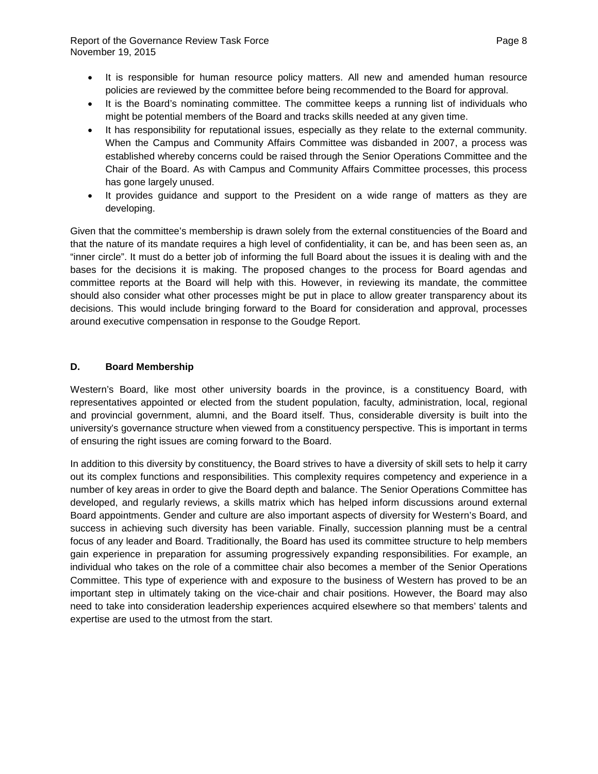- It is responsible for human resource policy matters. All new and amended human resource policies are reviewed by the committee before being recommended to the Board for approval.
- It is the Board's nominating committee. The committee keeps a running list of individuals who might be potential members of the Board and tracks skills needed at any given time.
- It has responsibility for reputational issues, especially as they relate to the external community. When the Campus and Community Affairs Committee was disbanded in 2007, a process was established whereby concerns could be raised through the Senior Operations Committee and the Chair of the Board. As with Campus and Community Affairs Committee processes, this process has gone largely unused.
- It provides guidance and support to the President on a wide range of matters as they are developing.

Given that the committee's membership is drawn solely from the external constituencies of the Board and that the nature of its mandate requires a high level of confidentiality, it can be, and has been seen as, an "inner circle". It must do a better job of informing the full Board about the issues it is dealing with and the bases for the decisions it is making. The proposed changes to the process for Board agendas and committee reports at the Board will help with this. However, in reviewing its mandate, the committee should also consider what other processes might be put in place to allow greater transparency about its decisions. This would include bringing forward to the Board for consideration and approval, processes around executive compensation in response to the Goudge Report.

## **D. Board Membership**

Western's Board, like most other university boards in the province, is a constituency Board, with representatives appointed or elected from the student population, faculty, administration, local, regional and provincial government, alumni, and the Board itself. Thus, considerable diversity is built into the university's governance structure when viewed from a constituency perspective. This is important in terms of ensuring the right issues are coming forward to the Board.

In addition to this diversity by constituency, the Board strives to have a diversity of skill sets to help it carry out its complex functions and responsibilities. This complexity requires competency and experience in a number of key areas in order to give the Board depth and balance. The Senior Operations Committee has developed, and regularly reviews, a skills matrix which has helped inform discussions around external Board appointments. Gender and culture are also important aspects of diversity for Western's Board, and success in achieving such diversity has been variable. Finally, succession planning must be a central focus of any leader and Board. Traditionally, the Board has used its committee structure to help members gain experience in preparation for assuming progressively expanding responsibilities. For example, an individual who takes on the role of a committee chair also becomes a member of the Senior Operations Committee. This type of experience with and exposure to the business of Western has proved to be an important step in ultimately taking on the vice-chair and chair positions. However, the Board may also need to take into consideration leadership experiences acquired elsewhere so that members' talents and expertise are used to the utmost from the start.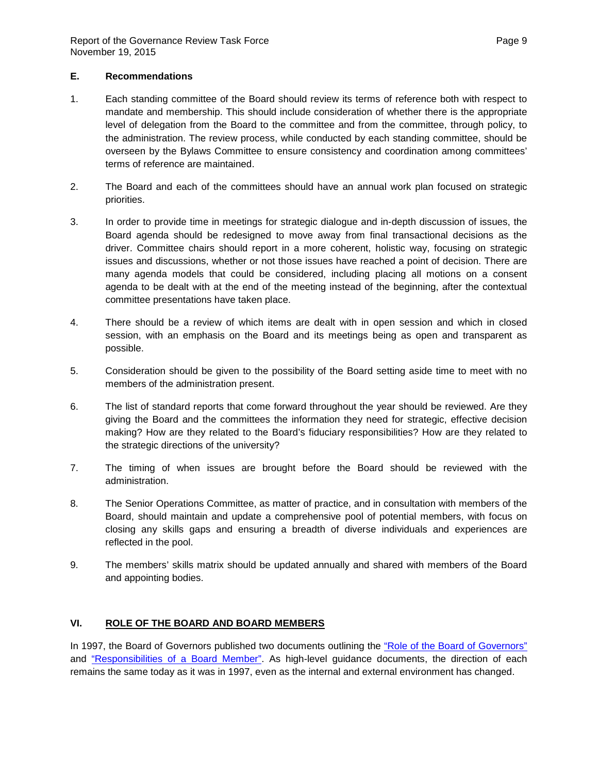### **E. Recommendations**

- 1. Each standing committee of the Board should review its terms of reference both with respect to mandate and membership. This should include consideration of whether there is the appropriate level of delegation from the Board to the committee and from the committee, through policy, to the administration. The review process, while conducted by each standing committee, should be overseen by the Bylaws Committee to ensure consistency and coordination among committees' terms of reference are maintained.
- 2. The Board and each of the committees should have an annual work plan focused on strategic priorities.
- 3. In order to provide time in meetings for strategic dialogue and in-depth discussion of issues, the Board agenda should be redesigned to move away from final transactional decisions as the driver. Committee chairs should report in a more coherent, holistic way, focusing on strategic issues and discussions, whether or not those issues have reached a point of decision. There are many agenda models that could be considered, including placing all motions on a consent agenda to be dealt with at the end of the meeting instead of the beginning, after the contextual committee presentations have taken place.
- 4. There should be a review of which items are dealt with in open session and which in closed session, with an emphasis on the Board and its meetings being as open and transparent as possible.
- 5. Consideration should be given to the possibility of the Board setting aside time to meet with no members of the administration present.
- 6. The list of standard reports that come forward throughout the year should be reviewed. Are they giving the Board and the committees the information they need for strategic, effective decision making? How are they related to the Board's fiduciary responsibilities? How are they related to the strategic directions of the university?
- 7. The timing of when issues are brought before the Board should be reviewed with the administration.
- 8. The Senior Operations Committee, as matter of practice, and in consultation with members of the Board, should maintain and update a comprehensive pool of potential members, with focus on closing any skills gaps and ensuring a breadth of diverse individuals and experiences are reflected in the pool.
- 9. The members' skills matrix should be updated annually and shared with members of the Board and appointing bodies.

## **VI. ROLE OF THE BOARD AND BOARD MEMBERS**

In 1997, the Board of Governors published two documents outlining the ["Role of the Board of Governors"](http://www.uwo.ca/univsec/board/role/index.html) and ["Responsibilities of a Board Member".](http://www.uwo.ca/univsec/board/board_members/index.html) As high-level guidance documents, the direction of each remains the same today as it was in 1997, even as the internal and external environment has changed.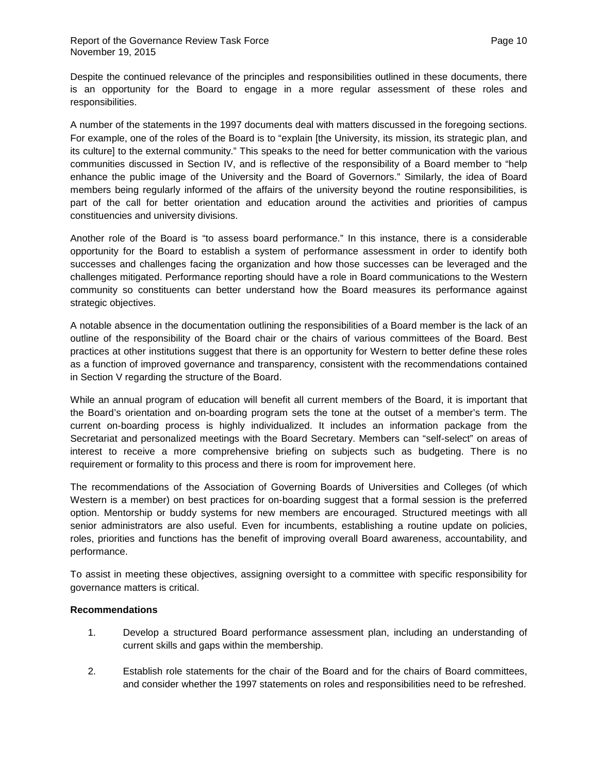Despite the continued relevance of the principles and responsibilities outlined in these documents, there is an opportunity for the Board to engage in a more regular assessment of these roles and responsibilities.

A number of the statements in the 1997 documents deal with matters discussed in the foregoing sections. For example, one of the roles of the Board is to "explain [the University, its mission, its strategic plan, and its culture] to the external community." This speaks to the need for better communication with the various communities discussed in Section IV, and is reflective of the responsibility of a Board member to "help enhance the public image of the University and the Board of Governors." Similarly, the idea of Board members being regularly informed of the affairs of the university beyond the routine responsibilities, is part of the call for better orientation and education around the activities and priorities of campus constituencies and university divisions.

Another role of the Board is "to assess board performance." In this instance, there is a considerable opportunity for the Board to establish a system of performance assessment in order to identify both successes and challenges facing the organization and how those successes can be leveraged and the challenges mitigated. Performance reporting should have a role in Board communications to the Western community so constituents can better understand how the Board measures its performance against strategic objectives.

A notable absence in the documentation outlining the responsibilities of a Board member is the lack of an outline of the responsibility of the Board chair or the chairs of various committees of the Board. Best practices at other institutions suggest that there is an opportunity for Western to better define these roles as a function of improved governance and transparency, consistent with the recommendations contained in Section V regarding the structure of the Board.

While an annual program of education will benefit all current members of the Board, it is important that the Board's orientation and on-boarding program sets the tone at the outset of a member's term. The current on-boarding process is highly individualized. It includes an information package from the Secretariat and personalized meetings with the Board Secretary. Members can "self-select" on areas of interest to receive a more comprehensive briefing on subjects such as budgeting. There is no requirement or formality to this process and there is room for improvement here.

The recommendations of the Association of Governing Boards of Universities and Colleges (of which Western is a member) on best practices for on-boarding suggest that a formal session is the preferred option. Mentorship or buddy systems for new members are encouraged. Structured meetings with all senior administrators are also useful. Even for incumbents, establishing a routine update on policies, roles, priorities and functions has the benefit of improving overall Board awareness, accountability, and performance.

To assist in meeting these objectives, assigning oversight to a committee with specific responsibility for governance matters is critical.

#### **Recommendations**

- 1. Develop a structured Board performance assessment plan, including an understanding of current skills and gaps within the membership.
- 2. Establish role statements for the chair of the Board and for the chairs of Board committees, and consider whether the 1997 statements on roles and responsibilities need to be refreshed.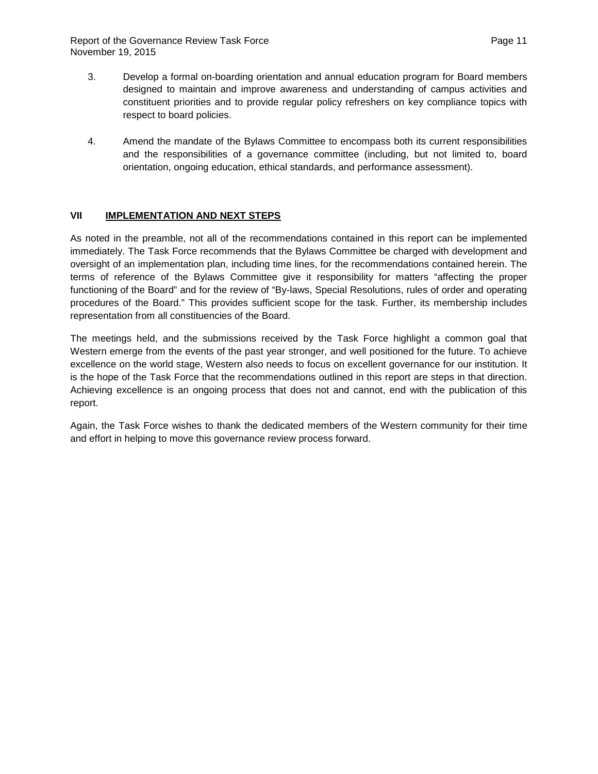Report of the Governance Review Task Force **Page 11** According to the Page 11 November 19, 2015

- 3. Develop a formal on-boarding orientation and annual education program for Board members designed to maintain and improve awareness and understanding of campus activities and constituent priorities and to provide regular policy refreshers on key compliance topics with respect to board policies.
- 4. Amend the mandate of the Bylaws Committee to encompass both its current responsibilities and the responsibilities of a governance committee (including, but not limited to, board orientation, ongoing education, ethical standards, and performance assessment).

## **VII IMPLEMENTATION AND NEXT STEPS**

As noted in the preamble, not all of the recommendations contained in this report can be implemented immediately. The Task Force recommends that the Bylaws Committee be charged with development and oversight of an implementation plan, including time lines, for the recommendations contained herein. The terms of reference of the Bylaws Committee give it responsibility for matters "affecting the proper functioning of the Board" and for the review of "By-laws, Special Resolutions, rules of order and operating procedures of the Board." This provides sufficient scope for the task. Further, its membership includes representation from all constituencies of the Board.

The meetings held, and the submissions received by the Task Force highlight a common goal that Western emerge from the events of the past year stronger, and well positioned for the future. To achieve excellence on the world stage, Western also needs to focus on excellent governance for our institution. It is the hope of the Task Force that the recommendations outlined in this report are steps in that direction. Achieving excellence is an ongoing process that does not and cannot, end with the publication of this report.

Again, the Task Force wishes to thank the dedicated members of the Western community for their time and effort in helping to move this governance review process forward.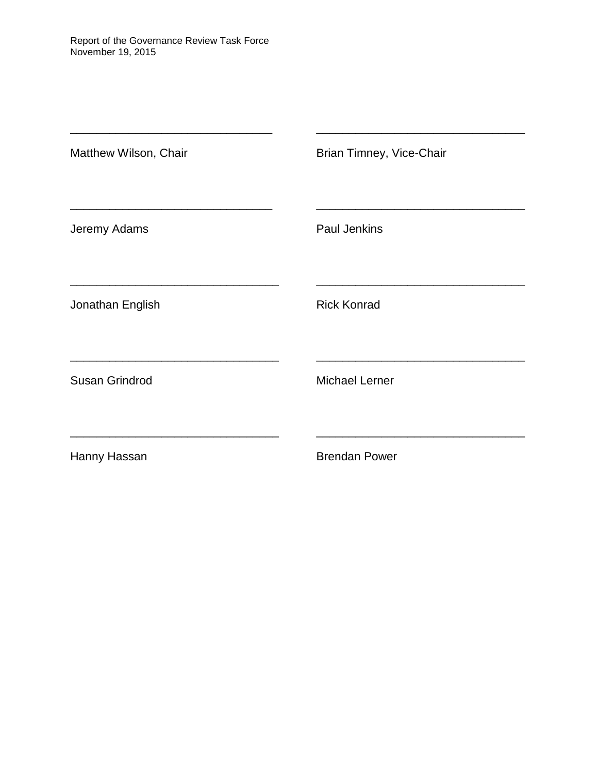| Matthew Wilson, Chair | Brian Timney, Vice-Chair |
|-----------------------|--------------------------|
| Jeremy Adams          | Paul Jenkins             |
| Jonathan English      | <b>Rick Konrad</b>       |
| Susan Grindrod        | <b>Michael Lerner</b>    |
| Hanny Hassan          | <b>Brendan Power</b>     |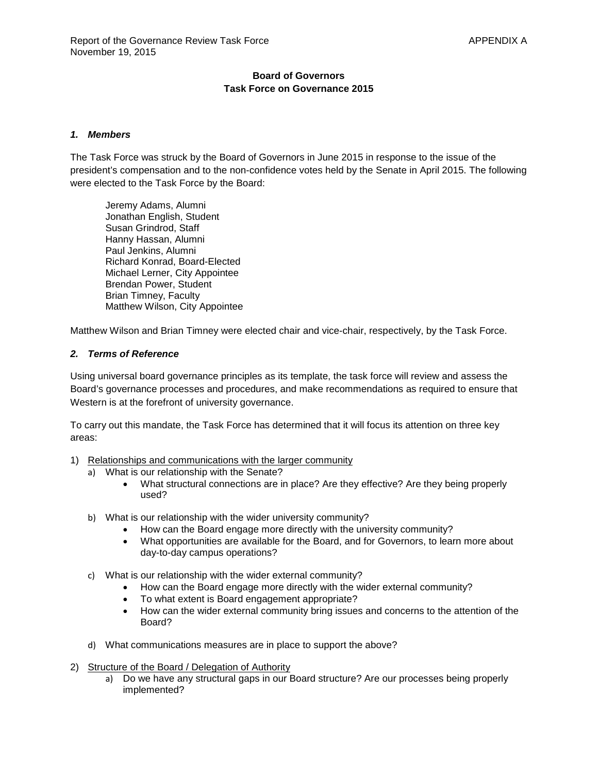## **Board of Governors Task Force on Governance 2015**

### *1. Members*

The Task Force was struck by the Board of Governors in June 2015 in response to the issue of the president's compensation and to the non-confidence votes held by the Senate in April 2015. The following were elected to the Task Force by the Board:

Jeremy Adams, Alumni Jonathan English, Student Susan Grindrod, Staff Hanny Hassan, Alumni Paul Jenkins, Alumni Richard Konrad, Board-Elected Michael Lerner, City Appointee Brendan Power, Student Brian Timney, Faculty Matthew Wilson, City Appointee

Matthew Wilson and Brian Timney were elected chair and vice-chair, respectively, by the Task Force.

#### *2. Terms of Reference*

Using universal board governance principles as its template, the task force will review and assess the Board's governance processes and procedures, and make recommendations as required to ensure that Western is at the forefront of university governance.

To carry out this mandate, the Task Force has determined that it will focus its attention on three key areas:

- 1) Relationships and communications with the larger community
	- a) What is our relationship with the Senate?
		- What structural connections are in place? Are they effective? Are they being properly used?
	- b) What is our relationship with the wider university community?
		- How can the Board engage more directly with the university community?
		- What opportunities are available for the Board, and for Governors, to learn more about day-to-day campus operations?
	- c) What is our relationship with the wider external community?
		- How can the Board engage more directly with the wider external community?
		- To what extent is Board engagement appropriate?
		- How can the wider external community bring issues and concerns to the attention of the Board?
	- d) What communications measures are in place to support the above?
- 2) Structure of the Board / Delegation of Authority
	- a) Do we have any structural gaps in our Board structure? Are our processes being properly implemented?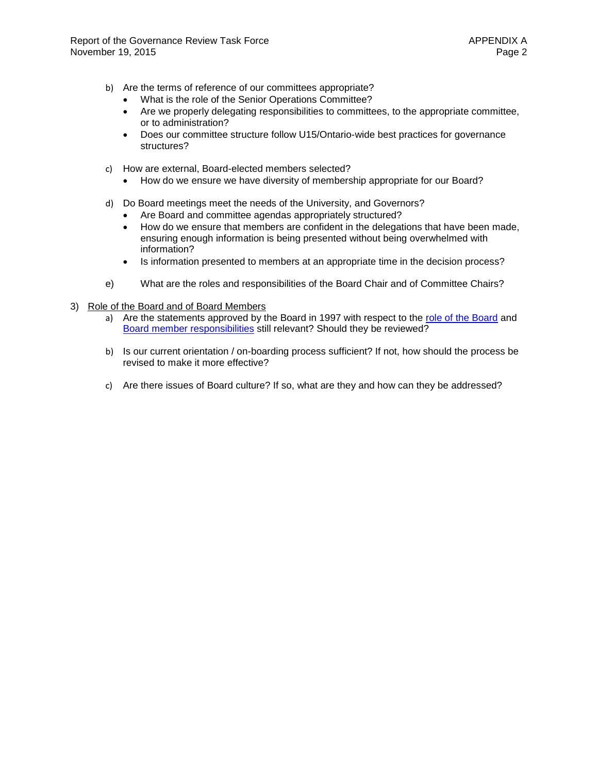- b) Are the terms of reference of our committees appropriate?
	- What is the role of the Senior Operations Committee?
	- Are we properly delegating responsibilities to committees, to the appropriate committee, or to administration?
	- Does our committee structure follow U15/Ontario-wide best practices for governance structures?
- c) How are external, Board-elected members selected?
	- How do we ensure we have diversity of membership appropriate for our Board?
- d) Do Board meetings meet the needs of the University, and Governors?
	- Are Board and committee agendas appropriately structured?
	- How do we ensure that members are confident in the delegations that have been made, ensuring enough information is being presented without being overwhelmed with information?
	- Is information presented to members at an appropriate time in the decision process?
- e) What are the roles and responsibilities of the Board Chair and of Committee Chairs?
- 3) Role of the Board and of Board Members
	- a) Are the statements approved by the Board in 1997 with respect to the [role of the Board](http://www.uwo.ca/univsec/board/role/index.html) and Board [member responsibilities](http://www.uwo.ca/univsec/board/board_members/index.html) still relevant? Should they be reviewed?
	- b) Is our current orientation / on-boarding process sufficient? If not, how should the process be revised to make it more effective?
	- c) Are there issues of Board culture? If so, what are they and how can they be addressed?